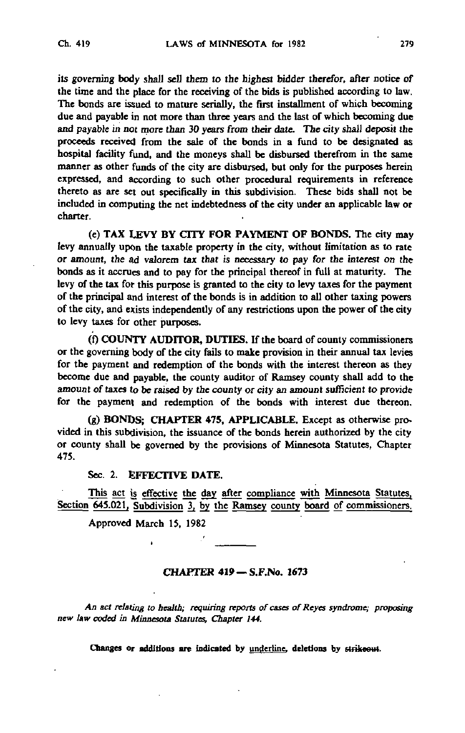its governing body shall sell them to the highest bidder therefor, after notice of the time and the place for the receiving of the bids is published according to law. The bonds are issued to mature serially, the first installment of which becoming due and payable in not more than three years and the last of which becoming due and payable in not more than 30 years from their date. The city shall deposit the proceeds received from the sale of the bonds in a fund to be designated as hospital facility fund, and the moneys shall be disbursed therefrom in the same manner as other funds of the city are disbursed, but only for the purposes herein expressed, and according to such other procedural requirements in reference thereto as are set out specifically in this subdivision. These bids shall not be included in computing the net indebtedness of the city under an applicable law or charter.

(e) TAX LEVY BY CITY FOR PAYMENT OF BONDS. The city may levy annually upon the taxable property in the city, without limitation as to rate or amount, the ad valorem tax that is necessary to pay for the interest on the bonds as it accrues and to pay for the principal thereof in full at maturity. The levy of the tax for this purpose is granted to the city to levy taxes for the payment of the principal and interest of the bonds is in addition to all other taxing powers of the city, and exists independently of any restrictions upon the power of the city to levy taxes for other purposes.

(0 COUNTY AUDITOR, DUTIES. If the board of county commissioners or the governing body of the city fails to make provision in their annual tax levies for the payment and redemption of the bonds with the interest thereon as they become due and payable, the county auditor of Ramsey county shall add to the amount of taxes to be raised by the county or city an amount sufficient to provide for the payment and redemption of the bonds with interest due thereon.

(g) BONDS; CHAPTER 475, APPLICABLE. Except as otherwise provided in this subdivision, the issuance of the bonds herein authorized by the city or county shall be governed by the provisions of Minnesota Statutes, Chapter 475.

## Sec. 2. EFFECTIVE DATE.

This act is effective the day after compliance with Minnesota Statutes, Section 645.021, Subdivision 3, by the Ramsey county board of commissioners.

Approved March 15, 1982

## CHAPTER 419 - S.F.No. 1673

An act relating to health; requiring reports of cases of Reyes syndrome; proposing new law coded in Minnesota Statutes, Chapter 144.

Changes or additions are indicated by underline, deletions by strikeout.